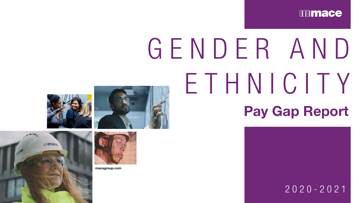# Pay Gap Report G E N D E R A N D ETHNICITY

2020-2021













macegroup.com

## mmace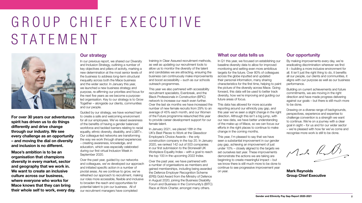For over 30 years our adventurous spirit has driven us to do things differently and drive change through our industry. We see every challenge as an opportunity – and moving the dial on diversity and inclusion is no different.

Mace's ambition is to be an organisation that champions diversity in every market, sector and geography that we work in. We want to create an inclusive culture across our business, where everyone who works for Mace knows that they can bring their whole self to work, every day.

#### Our strategy

In our previous report, we shared our Diversity and Inclusion Strategy, outlining a number of key objectives and pillars of activity, marking a new determination at the most senior levels of the business to address long-term structural inequality across both the Mace business and the wider sector. In January this year, we launched a new business strategy and purpose, re-affirming our priorities and focus for the next five years as we become a purposeled organisation. Key to our strategy is to Grow Together – alongside our clients, communities and our people.

Guided by our strategy, we have worked hard to create a safe and welcoming environment for all our employees. We've raised awareness of the benefits of having a gender balanced workforce and tackled barriers relating to racial equality, ethnic diversity, disability, and LGBT+. Our colleague-led networks are transforming the way we work through shared experiences – creating awareness, knowledge, and education, which was especially celebrated during our first virtual Inclusion Week in September 2020.

Over the past year, guided by our networks and colleagues, we've developed our approach and initiated specific action in a number of pivotal areas. As we continue to grow, we've refreshed our approach to recruitment, making our roles more accessible, flexible and inclusive to broaden the reach and opportunities for potential talent to join our business. All of our recruitment managers have completed

This year, I'm pleased to say that we have seen a substantial improvement in our gender pay gap, achieving an improvement of just under 10% – closely aligned to the targets we set ourselves last year. These improvements demonstrate the actions we are taking are beginning to create meaningful impact – but we know there is still much more to be done to continue to see progressive improvement year on year. **Mark Reynolds** 

training in Clear Assured recruitment methods, as well as updating our recruitment tools to allow us to monitor the diversity of the talent and candidates we are attracting, ensuring the business can continuously make improvements and boost accessibility – such as our schools outreach programmes.

## GROUP CHIEF EXECUTIVE STATEMENT



This year we also partnered with accessibility recruitment specialists, Evenbreak, and the Black Professionals in Construction (BPiC) network to increase our reach even further. Over the last six months we have increased the number of new female recruits from 29% to an average of 45% each month, and our Women of the Future programme relaunched this year to provide career development support for our female talent.

In January 2021, we placed 18th in the UK's Best Places to Work at the Glassdoor Employee's Choice Awards – the only construction company in the top 20. In January 2020, we ranked 142 out of 503 companies in our first submission to the Stonewall UK Workplace Equality Index – with a goal to reach the top 100 in the upcoming 2022 Index.

Over the past year, we have partnered with a number of organisations as members and gained memberships, including being awarded the Defence Employer Recognition Scheme (ERS) Gold Award from the Ministry of Defence in August 2020, joining the Business Disability Forum and Business in the Community's (BITC) Race at Work Charter, amongst many others.

#### What our data tells us

In Q1 this year, we focused on establishing our baseline diversity data to allow for improved monitoring and setting even more ambitious targets for the future. Over 80% of colleagues across the globe inputted and updated their personal information, many sharing characteristics for the first time, helping to paint the picture of the diversity across Mace. Going forward, this data will be used to better track diversity, how we're improving and guiding our future areas of focus.

This data has allowed for more accurate reporting around our ethnicity pay gap, and this year we've seen a slight change in the right direction. Although this isn't a big jump, with our new data, we have better understanding of the make-up of Mace, so we can focus our efforts in the right places to continue to make change in the coming months.

Group Chief Executive



#### Our opportunity

By making improvements every day, we're eradicating discrimination wherever we find it – building a more inclusive environment for all. It isn't just the right thing to do, it benefits all our people, our clients and communities, it aligns with our purpose as well as our business performance.

Building on current achievements and future commitments, we are moving in the right direction and have made progress delivering against our goals – but there is still much more to be done.

Drawing on a diverse range of backgrounds, perspectives, experience and expertise to challenge convention is a strength we want to continue. We're on a journey with a clear goal in sight – for us and for our wider sector – we're pleased with how far we've come and recognise more work is still to be done.

Made Ruds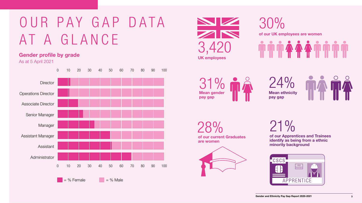## OUR PAY GAP DATA AT A GLANCE

### Gender profile by grade

As at 5 April 2021





30% of our UK employees are women

28% of our current Graduates are women



21%

of our Apprentices and Trainees identify as being from a ethnic minority background











24% Mean ethnicity pay gap

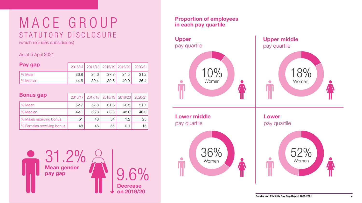

| Pay gap  |      |      |      |      | 2016/17 2017/18 2018/19 2019/20 2020/21 |
|----------|------|------|------|------|-----------------------------------------|
| % Mean   | 36.8 | 34.6 | 37.3 | 34.5 | 31.2                                    |
| % Median | 44.6 | 39.4 | 39.6 | 40.0 | 36.4                                    |

| <b>Bonus gap</b>          | 2016/17 | 2017/18 |      | 2018/19 2019/20 | 2020/21 |
|---------------------------|---------|---------|------|-----------------|---------|
| % Mean                    | 52.7    | 57.3    | 61.6 | 66.5            | 51.7    |
| % Median                  | 42.1    | 33.3    | 33.3 | 48.0            | 40.0    |
| % Males receiving bonus   | 51      | 43      | 54   | 1.2             | 25      |
| % Females receiving bonus | 48      | 46      | 55   | 0.1             | 15      |

As at 5 April 2021

## M A C E G R O U P STATUTORY DISCLOSURE



(which includes subsidiaries)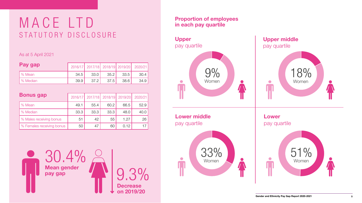



| Pay gap  |      |      |                   |      | 2016/17 2017/18 2018/19 2019/20 2020/21 |
|----------|------|------|-------------------|------|-----------------------------------------|
| % Mean   | 34.5 | 33.0 | 35.2              | 33.5 | 30.4                                    |
| % Median | 39.9 | 37.2 | 37.5 <sub>1</sub> | 38.6 | 34.9                                    |

| <b>Bonus gap</b>          | 2016/17 | 2017/18 |      | 2018/19 2019/20 | 2020/21 |
|---------------------------|---------|---------|------|-----------------|---------|
| % Mean                    | 49.1    | 55.4    | 60.2 | 66.5            | 529     |
| % Median                  | 33.3    | 33.3    | 33.3 | 48.0            | 40.0    |
| % Males receiving bonus   | 51      | 42      | 55   | 1.27            | 26'     |
| % Females receiving bonus | 50      | 47      | 60   | 0.12            |         |

As at 5 April 2021

## M A C E L T D STATUTORY DISCLOSURE

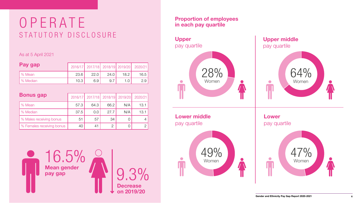



| Pay gap  |      |      |      |      | 2016/17 2017/18 2018/19 2019/20 2020/21 |
|----------|------|------|------|------|-----------------------------------------|
| % Mean   | 23.6 | 22.0 | 24.0 | 18.2 | 16.5                                    |
| % Median | 10.3 | 69   |      |      |                                         |

| <b>Bonus gap</b>          | 2016/17 | 2017/18 |                | 2018/19 2019/20 | 2020/21 |
|---------------------------|---------|---------|----------------|-----------------|---------|
| % Mean                    | 57.3    | 64.3    | 66.2           | N/A             | 13.1    |
| % Median                  | 37.5    | 0.0     | 27.7           | N/A             | 13.1    |
| % Males receiving bonus   | 51      | 57      | 34             | $\bigcup$       |         |
| % Females receiving bonus | 40      | 41      | $\overline{2}$ |                 |         |

#### As at 5 April 2021

## OPERATE STATUTORY DISCLOSURE

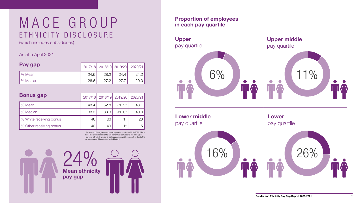



| Pay gap  |      |      |      | 2017/18 2018/19 2019/20 2020/21 |
|----------|------|------|------|---------------------------------|
| ∣% Mean  | 24.6 | 28.2 | 24.4 | 24.2                            |
| % Median | 26.6 | 27.2 | 27.7 | 29.0                            |

As at 5 April 2021

## M A C E G R O U P ETHNICITY DISCLOSURE

Mean ethnicity 24% pay gap



(which includes subsidiaries)

| <b>Bonus gap</b>        | 2017/18 |      | 2018/19 2019/20 | 2020/21 |
|-------------------------|---------|------|-----------------|---------|
| % Mean                  | 43.4    | 52.8 | $-70.2*$        | 43.1    |
| % Median                | 33.3    | 33.3 | $-20.0*$        | 40.C    |
| % White receiving bonus | 46      | 60   | 1 * ∣           | 26      |
| % Other receiving bonus | 40      | 49   | 1 *             | 15      |

\* As a result of the global coronavirus pandemic, during 2019-2020, Mace made the difficult decision to not pay annual bonuses to our colleagues. However, a limited number of colleagues received bonuses, but due to the low percentage this provides limited insight.

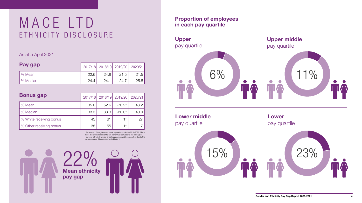



| Pay gap  |      |      |      | 2017/18 2018/19 2019/20 2020/21 |
|----------|------|------|------|---------------------------------|
| ∣% Mean  | 22.6 | 24.8 | 21.5 | 21.5                            |
| % Median | 24.4 | 24.1 | 24.7 | 25.5                            |

As at 5 April 2021

## M A C E L T D ETHNICITY DISCLOSURE

Mean ethnicity 22% pay gap

| <b>Bonus gap</b>        | 2017/18 |      | 2018/19 2019/20 | 2020/21 |
|-------------------------|---------|------|-----------------|---------|
| % Mean                  | 35.6    | 52.6 | $-70.2*$        | 43.2    |
| % Median                | 33.3    | 33.3 | $-20.0*$        | 40.0    |
| % White receiving bonus | 45      | 61   | $+$ $+$         | 27      |
| % Other receiving bonus | 38      | 55   | 1 *             |         |

\* As a result of the global coronavirus pandemic, during 2019-2020, Mace made the difficult decision to not pay annual bonuses to our colleagues. However, a limited number of colleagues received bonuses, but due to the low percentage this provides limited insight.

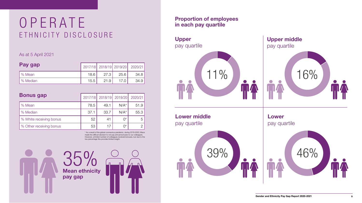



| Pay gap  |      |      |      | 2017/18 2018/19 2019/20 2020/21 |
|----------|------|------|------|---------------------------------|
| % Mean   | 18.6 | 27.3 | 25.6 | 34.8                            |
| % Median | 15.5 | 21.9 |      | 34.9                            |

| <b>Bonus gap</b>        | 2017/18 |      | 2018/19 2019/20   | 2020/21 |
|-------------------------|---------|------|-------------------|---------|
| % Mean                  | 78.5    | 49.1 | $N/A^*$           | 51.9    |
| % Median                | 37.1    | 33.7 | $N/A^*$           | 55.3    |
| % White receiving bonus | 52      | 41   | $\bigcap^*$       | 5       |
| % Other receiving bonus | 53      | 17   | $\bigcap^{\star}$ |         |

As at 5 April 2021

## OPERATE ETHNICITY DISCLOSURE

Mean ethnicity 35% pay gap



\* As a result of the global coronavirus pandemic, during 2019-2020, Mace made the difficult decision to not pay annual bonuses to our colleagues. However, a limited number of colleagues received bonuses, but due to the low percentage this provides limited insight.